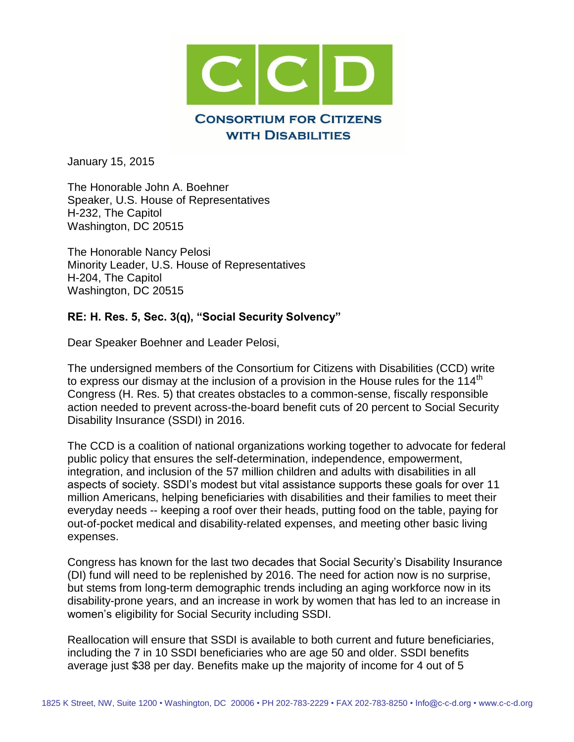

January 15, 2015

The Honorable John A. Boehner Speaker, U.S. House of Representatives H-232, The Capitol Washington, DC 20515

The Honorable Nancy Pelosi Minority Leader, U.S. House of Representatives H-204, The Capitol Washington, DC 20515

## **RE: H. Res. 5, Sec. 3(q), "Social Security Solvency"**

Dear Speaker Boehner and Leader Pelosi,

The undersigned members of the Consortium for Citizens with Disabilities (CCD) write to express our dismay at the inclusion of a provision in the House rules for the 114<sup>th</sup> Congress (H. Res. 5) that creates obstacles to a common-sense, fiscally responsible action needed to prevent across-the-board benefit cuts of 20 percent to Social Security Disability Insurance (SSDI) in 2016.

The CCD is a coalition of national organizations working together to advocate for federal public policy that ensures the self-determination, independence, empowerment, integration, and inclusion of the 57 million children and adults with disabilities in all aspects of society. SSDI's modest but vital assistance supports these goals for over 11 million Americans, helping beneficiaries with disabilities and their families to meet their everyday needs -- keeping a roof over their heads, putting food on the table, paying for out-of-pocket medical and disability-related expenses, and meeting other basic living expenses.

Congress has known for the last two decades that Social Security's Disability Insurance (DI) fund will need to be replenished by 2016. The need for action now is no surprise, but stems from long-term demographic trends including an aging workforce now in its disability-prone years, and an increase in work by women that has led to an increase in women's eligibility for Social Security including SSDI.

Reallocation will ensure that SSDI is available to both current and future beneficiaries, including the 7 in 10 SSDI beneficiaries who are age 50 and older. SSDI benefits average just \$38 per day. Benefits make up the majority of income for 4 out of 5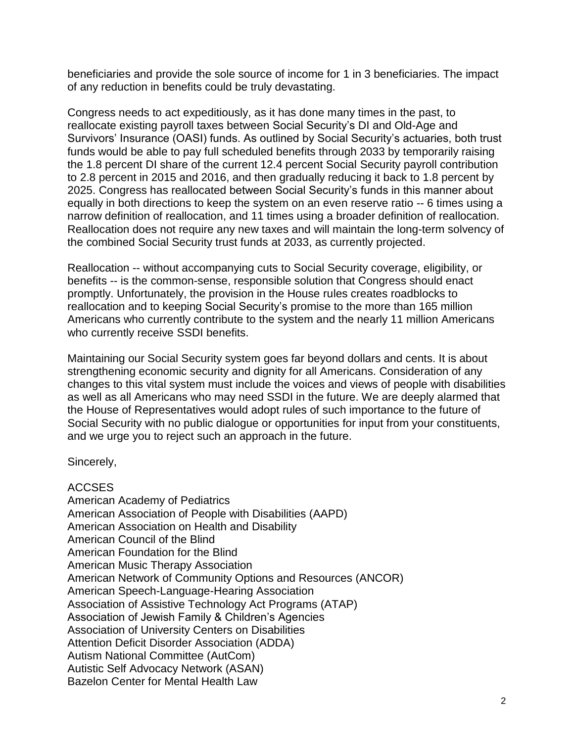beneficiaries and provide the sole source of income for 1 in 3 beneficiaries. The impact of any reduction in benefits could be truly devastating.

Congress needs to act expeditiously, as it has done many times in the past, to reallocate existing payroll taxes between Social Security's DI and Old-Age and Survivors' Insurance (OASI) funds. As outlined by Social Security's actuaries, both trust funds would be able to pay full scheduled benefits through 2033 by temporarily raising the 1.8 percent DI share of the current 12.4 percent Social Security payroll contribution to 2.8 percent in 2015 and 2016, and then gradually reducing it back to 1.8 percent by 2025. Congress has reallocated between Social Security's funds in this manner about equally in both directions to keep the system on an even reserve ratio -- 6 times using a narrow definition of reallocation, and 11 times using a broader definition of reallocation. Reallocation does not require any new taxes and will maintain the long-term solvency of the combined Social Security trust funds at 2033, as currently projected.

Reallocation -- without accompanying cuts to Social Security coverage, eligibility, or benefits -- is the common-sense, responsible solution that Congress should enact promptly. Unfortunately, the provision in the House rules creates roadblocks to reallocation and to keeping Social Security's promise to the more than 165 million Americans who currently contribute to the system and the nearly 11 million Americans who currently receive SSDI benefits.

Maintaining our Social Security system goes far beyond dollars and cents. It is about strengthening economic security and dignity for all Americans. Consideration of any changes to this vital system must include the voices and views of people with disabilities as well as all Americans who may need SSDI in the future. We are deeply alarmed that the House of Representatives would adopt rules of such importance to the future of Social Security with no public dialogue or opportunities for input from your constituents, and we urge you to reject such an approach in the future.

Sincerely,

## ACCSES

American Academy of Pediatrics American Association of People with Disabilities (AAPD) American Association on Health and Disability American Council of the Blind American Foundation for the Blind American Music Therapy Association American Network of Community Options and Resources (ANCOR) American Speech-Language-Hearing Association Association of Assistive Technology Act Programs (ATAP) Association of Jewish Family & Children's Agencies Association of University Centers on Disabilities Attention Deficit Disorder Association (ADDA) Autism National Committee (AutCom) Autistic Self Advocacy Network (ASAN) Bazelon Center for Mental Health Law